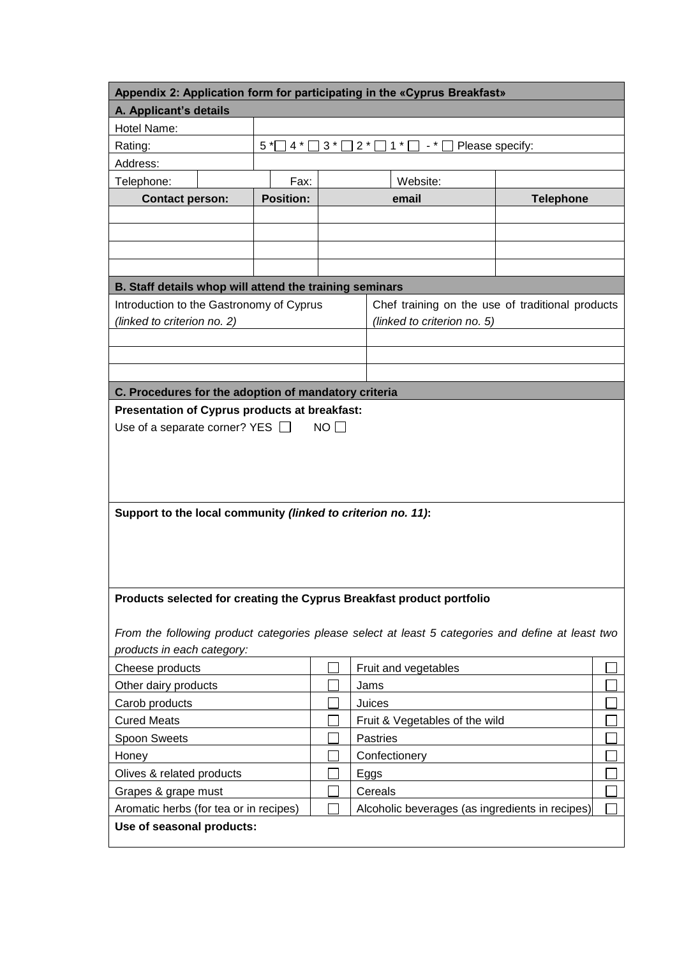| Appendix 2: Application form for participating in the «Cyprus Breakfast»                          |                                                                           |  |                                                 |  |
|---------------------------------------------------------------------------------------------------|---------------------------------------------------------------------------|--|-------------------------------------------------|--|
| A. Applicant's details                                                                            |                                                                           |  |                                                 |  |
| Hotel Name:                                                                                       |                                                                           |  |                                                 |  |
| Rating:                                                                                           | $5*$<br>$4 *$<br>$2^*$<br>$1*$<br>$\Box$ Please specify:<br>$3^*$<br>$ *$ |  |                                                 |  |
| Address:                                                                                          |                                                                           |  |                                                 |  |
| Telephone:                                                                                        | Fax:                                                                      |  | Website:                                        |  |
| <b>Contact person:</b>                                                                            | <b>Position:</b>                                                          |  | <b>Telephone</b><br>email                       |  |
|                                                                                                   |                                                                           |  |                                                 |  |
|                                                                                                   |                                                                           |  |                                                 |  |
|                                                                                                   |                                                                           |  |                                                 |  |
|                                                                                                   |                                                                           |  |                                                 |  |
| B. Staff details whop will attend the training seminars                                           |                                                                           |  |                                                 |  |
| Introduction to the Gastronomy of Cyprus<br>Chef training on the use of traditional products      |                                                                           |  |                                                 |  |
| (linked to criterion no. 2)                                                                       |                                                                           |  | (linked to criterion no. 5)                     |  |
|                                                                                                   |                                                                           |  |                                                 |  |
|                                                                                                   |                                                                           |  |                                                 |  |
|                                                                                                   |                                                                           |  |                                                 |  |
| C. Procedures for the adoption of mandatory criteria                                              |                                                                           |  |                                                 |  |
| Presentation of Cyprus products at breakfast:                                                     |                                                                           |  |                                                 |  |
| Use of a separate corner? YES $\Box$<br>NO <sub>1</sub>                                           |                                                                           |  |                                                 |  |
|                                                                                                   |                                                                           |  |                                                 |  |
|                                                                                                   |                                                                           |  |                                                 |  |
|                                                                                                   |                                                                           |  |                                                 |  |
|                                                                                                   |                                                                           |  |                                                 |  |
|                                                                                                   |                                                                           |  |                                                 |  |
| Support to the local community (linked to criterion no. 11):                                      |                                                                           |  |                                                 |  |
|                                                                                                   |                                                                           |  |                                                 |  |
|                                                                                                   |                                                                           |  |                                                 |  |
|                                                                                                   |                                                                           |  |                                                 |  |
|                                                                                                   |                                                                           |  |                                                 |  |
| Products selected for creating the Cyprus Breakfast product portfolio                             |                                                                           |  |                                                 |  |
|                                                                                                   |                                                                           |  |                                                 |  |
| From the following product categories please select at least 5 categories and define at least two |                                                                           |  |                                                 |  |
| products in each category:                                                                        |                                                                           |  |                                                 |  |
| Cheese products                                                                                   |                                                                           |  | Fruit and vegetables                            |  |
| Other dairy products                                                                              |                                                                           |  | Jams                                            |  |
| Carob products                                                                                    |                                                                           |  | Juices                                          |  |
| <b>Cured Meats</b>                                                                                |                                                                           |  |                                                 |  |
|                                                                                                   |                                                                           |  | Fruit & Vegetables of the wild                  |  |
| Spoon Sweets                                                                                      |                                                                           |  | <b>Pastries</b>                                 |  |
| Honey                                                                                             |                                                                           |  | Confectionery                                   |  |
| Olives & related products                                                                         |                                                                           |  | Eggs                                            |  |
| Grapes & grape must                                                                               |                                                                           |  | Cereals                                         |  |
| Aromatic herbs (for tea or in recipes)                                                            |                                                                           |  | Alcoholic beverages (as ingredients in recipes) |  |
| Use of seasonal products:                                                                         |                                                                           |  |                                                 |  |